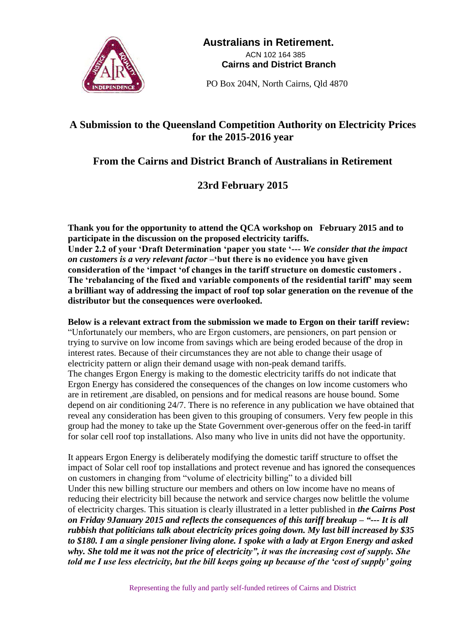

 **Australians in Retirement.** ACN 102 164 385  **Cairns and District Branch**

PO Box 204N, North Cairns, Qld 4870

## **A Submission to the Queensland Competition Authority on Electricity Prices for the 2015-2016 year**

## **From the Cairns and District Branch of Australians in Retirement**

## **23rd February 2015**

**Thank you for the opportunity to attend the QCA workshop on February 2015 and to participate in the discussion on the proposed electricity tariffs. Under 2.2 of your 'Draft Determination 'paper you state '---** *We consider that the impact on customers is a very relevant factor* **–'but there is no evidence you have given consideration of the 'impact 'of changes in the tariff structure on domestic customers . The 'rebalancing of the fixed and variable components of the residential tariff' may seem a brilliant way of addressing the impact of roof top solar generation on the revenue of the distributor but the consequences were overlooked.** 

## **Below is a relevant extract from the submission we made to Ergon on their tariff review:**

"Unfortunately our members, who are Ergon customers, are pensioners, on part pension or trying to survive on low income from savings which are being eroded because of the drop in interest rates. Because of their circumstances they are not able to change their usage of electricity pattern or align their demand usage with non-peak demand tariffs. The changes Ergon Energy is making to the domestic electricity tariffs do not indicate that Ergon Energy has considered the consequences of the changes on low income customers who are in retirement ,are disabled, on pensions and for medical reasons are house bound. Some depend on air conditioning 24/7. There is no reference in any publication we have obtained that reveal any consideration has been given to this grouping of consumers. Very few people in this group had the money to take up the State Government over-generous offer on the feed-in tariff for solar cell roof top installations. Also many who live in units did not have the opportunity.

It appears Ergon Energy is deliberately modifying the domestic tariff structure to offset the impact of Solar cell roof top installations and protect revenue and has ignored the consequences on customers in changing from "volume of electricity billing" to a divided bill Under this new billing structure our members and others on low income have no means of reducing their electricity bill because the network and service charges now belittle the volume of electricity charges. This situation is clearly illustrated in a letter published in *the Cairns Post on Friday 9January 2015 and reflects the consequences of this tariff breakup – "--- It is all rubbish that politicians talk about electricity prices going down. My last bill increased by \$35 to \$180. I am a single pensioner living alone. I spoke with a lady at Ergon Energy and asked why. She told me it was not the price of electricity", it was the increasing cost of supply. She told me I use less electricity, but the bill keeps going up because of the 'cost of supply' going*